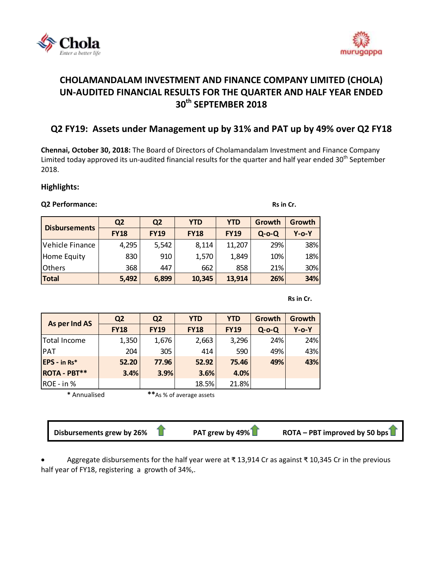



# **CHOLAMANDALAM INVESTMENT AND FINANCE COMPANY LIMITED (CHOLA) UN-AUDITED FINANCIAL RESULTS FOR THE QUARTER AND HALF YEAR ENDED 30 th SEPTEMBER 2018**

## **Q2 FY19: Assets under Management up by 31% and PAT up by 49% over Q2 FY18**

**Chennai, October 30, 2018:** The Board of Directors of [Cholamandalam Investment and Finance Company](http://www.cholamandalam.com/)  [Limited](http://www.cholamandalam.com/) today approved its un-audited financial results for the quarter and half year ended 30<sup>th</sup> September 2018.

### **Highlights:**

#### **Q2 Performance:** Rs in Cr.

## **Q2 Q2 YTD YTD Growth Growth FY18 FY19 FY18 FY19 Q-o-Q Y-o-Y** Vehicle Finance | 4,295 | 5,542 | 8,114 | 11,207 | 29% | 38% Home Equity | 830 | 910 | 1,570 | 1,849 | 10% | 18% Others 368 447 662 858 21% 30% **Total 5,492 6,899 10,345 13,914 26% 34% Disbursements**

**Rs in Cr.** The contract of the contract of the contract of the contract of the contract of the contract of the contract of the contract of the contract of the contract of the contract of the contract of the contract of th

| As per Ind AS       | Q <sub>2</sub> | Q <sub>2</sub> | <b>YTD</b>  | <b>YTD</b>  | Growth   | Growth   |
|---------------------|----------------|----------------|-------------|-------------|----------|----------|
|                     | <b>FY18</b>    | <b>FY19</b>    | <b>FY18</b> | <b>FY19</b> | $Q$ -o-Q | $Y$ -o-Y |
| Total Income        | 1,350          | 1,676          | 2,663       | 3,296       | 24%      | 24%      |
| PAT                 | 204            | 305            | 414         | 590         | 49%      | 43%      |
| EPS - in Rs*        | 52.20          | 77.96          | 52.92       | 75.46       | 49%      | 43%      |
| <b>ROTA - PBT**</b> | 3.4%           | 3.9%           | 3.6%        | 4.0%        |          |          |
| ROE - in %          |                |                | 18.5%       | 21.8%       |          |          |

**\*** Annualised **\*\***As % of average assets

**Disbursements grew by 26% PAT grew by 49% ROTA – PBT improved by 50 bps**

 Aggregate disbursements for the half year were at ₹ 13,914 Cr as against ₹ 10,345 Cr in the previous half year of FY18, registering a growth of 34%,.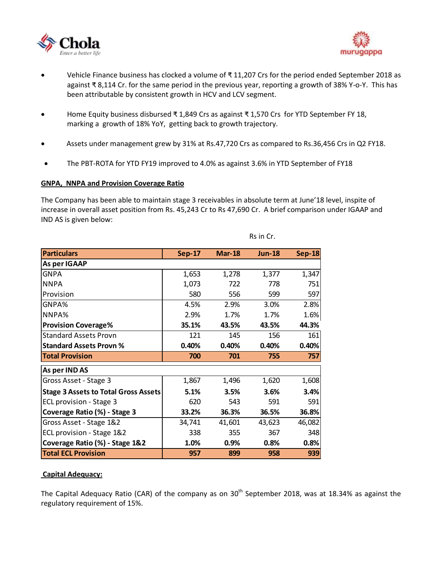



- Vehicle Finance business has clocked a volume of ₹ 11,207 Crs for the period ended September 2018 as against ₹ 8,114 Cr. for the same period in the previous year, reporting a growth of 38% Y-o-Y. This has been attributable by consistent growth in HCV and LCV segment.
- Home Equity business disbursed ₹ 1,849 Crs as against ₹ 1,570 Crs for YTD September FY 18, marking a growth of 18% YoY, getting back to growth trajectory.
- Assets under management grew by 31% at Rs.47,720 Crs as compared to Rs.36,456 Crs in Q2 FY18.
- The PBT-ROTA for YTD FY19 improved to 4.0% as against 3.6% in YTD September of FY18

#### **GNPA, NNPA and Provision Coverage Ratio**

The Company has been able to maintain stage 3 receivables in absolute term at June'18 level, inspite of increase in overall asset position from Rs. 45,243 Cr to Rs 47,690 Cr. A brief comparison under IGAAP and IND AS is given below:

| <b>Particulars</b>                          | <b>Sep-17</b> | $Mar-18$ | <b>Jun-18</b> | $Sep-18$ |
|---------------------------------------------|---------------|----------|---------------|----------|
| As per IGAAP                                |               |          |               |          |
| <b>GNPA</b>                                 | 1,653         | 1,278    | 1,377         | 1,347    |
| <b>NNPA</b>                                 | 1,073         | 722      | 778           | 751      |
| Provision                                   | 580           | 556      | 599           | 597      |
| GNPA%                                       | 4.5%          | 2.9%     | 3.0%          | 2.8%     |
| NNPA%                                       | 2.9%          | 1.7%     | 1.7%          | 1.6%     |
| <b>Provision Coverage%</b>                  | 35.1%         | 43.5%    | 43.5%         | 44.3%    |
| <b>Standard Assets Provn</b>                | 121           | 145      | 156           | 161      |
| <b>Standard Assets Provn %</b>              | 0.40%         | 0.40%    | 0.40%         | 0.40%    |
| <b>Total Provision</b>                      | 700           | 701      | 755           | 757      |
| As per IND AS                               |               |          |               |          |
| Gross Asset - Stage 3                       | 1,867         | 1,496    | 1,620         | 1,608    |
| <b>Stage 3 Assets to Total Gross Assets</b> | 5.1%          | 3.5%     | 3.6%          | 3.4%     |
| ECL provision - Stage 3                     | 620           | 543      | 591           | 591      |
| Coverage Ratio (%) - Stage 3                | 33.2%         | 36.3%    | 36.5%         | 36.8%    |
| Gross Asset - Stage 1&2                     | 34,741        | 41,601   | 43,623        | 46,082   |
| ECL provision - Stage 1&2                   | 338           | 355      | 367           | 348      |
| Coverage Ratio (%) - Stage 1&2              | 1.0%          | 0.9%     | 0.8%          | 0.8%     |
| <b>Total ECL Provision</b>                  | 957           | 899      | 958           | 939      |

Rs in Cr.

#### **Capital Adequacy:**

The Capital Adequacy Ratio (CAR) of the company as on  $30<sup>th</sup>$  September 2018, was at 18.34% as against the regulatory requirement of 15%.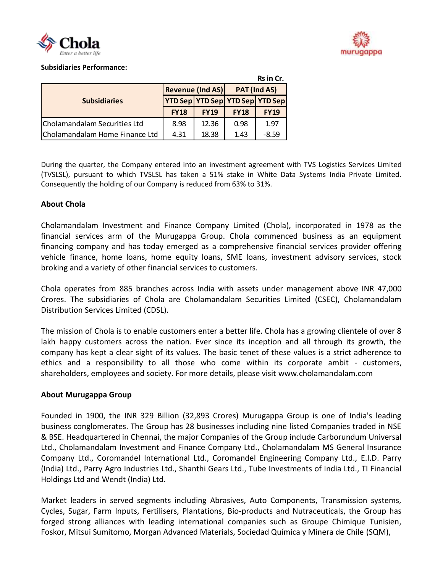



#### **Subsidiaries Performance:**

|                                |                                 |             |              | Rs in Cr.   |
|--------------------------------|---------------------------------|-------------|--------------|-------------|
|                                | <b>Revenue (Ind AS)</b>         |             | PAT (Ind AS) |             |
| <b>Subsidiaries</b>            | YTD Sep YTD Sep YTD Sep YTD Sep |             |              |             |
|                                | <b>FY18</b>                     | <b>FY19</b> | <b>FY18</b>  | <b>FY19</b> |
| Cholamandalam Securities Ltd   | 8.98                            | 12.36       | 0.98         | 1.97        |
| Cholamandalam Home Finance Ltd | 4.31                            | 18.38       | 1.43         | $-8.59$     |

During the quarter, the Company entered into an investment agreement with TVS Logistics Services Limited (TVSLSL), pursuant to which TVSLSL has taken a 51% stake in White Data Systems India Private Limited. Consequently the holding of our Company is reduced from 63% to 31%.

#### **About Chola**

Cholamandalam Investment and Finance Company Limited (Chola), incorporated in 1978 as the financial services arm of the Murugappa Group. Chola commenced business as an equipment financing company and has today emerged as a comprehensive financial services provider offering vehicle finance, home loans, home equity loans, SME loans, investment advisory services, stock broking and a variety of other financial services to customers.

Chola operates from 885 branches across India with assets under management above INR 47,000 Crores. The subsidiaries of Chola are Cholamandalam Securities Limited (CSEC), Cholamandalam Distribution Services Limited (CDSL).

The mission of Chola is to enable customers enter a better life. Chola has a growing clientele of over 8 lakh happy customers across the nation. Ever since its inception and all through its growth, the company has kept a clear sight of its values. The basic tenet of these values is a strict adherence to ethics and a responsibility to all those who come within its corporate ambit - customers, shareholders, employees and society. For more details, please visit www.cholamandalam.com

#### **About Murugappa Group**

Founded in 1900, the INR 329 Billion (32,893 Crores) Murugappa Group is one of India's leading business conglomerates. The Group has 28 businesses including nine listed Companies traded in NSE & BSE. Headquartered in Chennai, the major Companies of the Group include Carborundum Universal Ltd., Cholamandalam Investment and Finance Company Ltd., Cholamandalam MS General Insurance Company Ltd., Coromandel International Ltd., Coromandel Engineering Company Ltd., E.I.D. Parry (India) Ltd., Parry Agro Industries Ltd., Shanthi Gears Ltd., Tube Investments of India Ltd., TI Financial Holdings Ltd and Wendt (India) Ltd.

Market leaders in served segments including Abrasives, Auto Components, Transmission systems, Cycles, Sugar, Farm Inputs, Fertilisers, Plantations, Bio-products and Nutraceuticals, the Group has forged strong alliances with leading international companies such as Groupe Chimique Tunisien, Foskor, Mitsui Sumitomo, Morgan Advanced Materials, Sociedad Química y Minera de Chile (SQM),